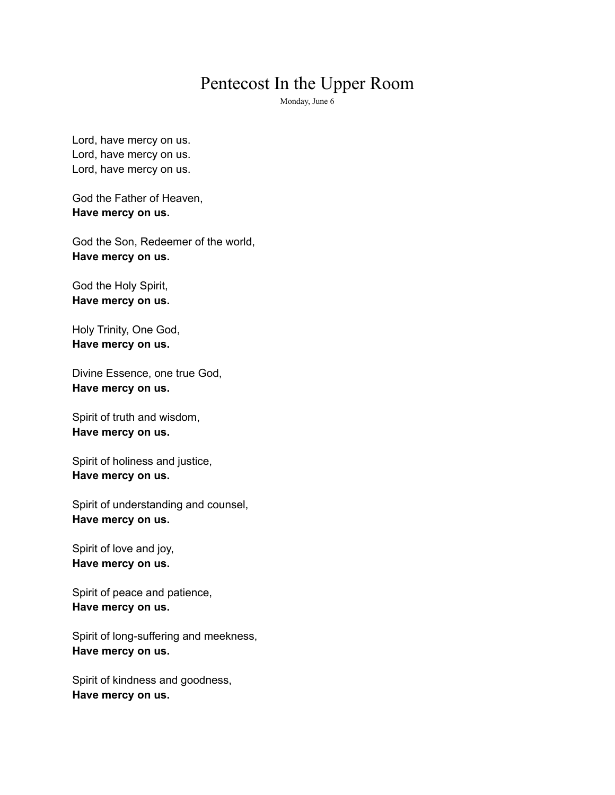## Pentecost In the Upper Room

Monday, June 6

Lord, have mercy on us. Lord, have mercy on us. Lord, have mercy on us.

God the Father of Heaven, **Have mercy on us.**

God the Son, Redeemer of the world, **Have mercy on us.**

God the Holy Spirit, **Have mercy on us.**

Holy Trinity, One God, **Have mercy on us.**

Divine Essence, one true God, **Have mercy on us.**

Spirit of truth and wisdom, **Have mercy on us.**

Spirit of holiness and justice, **Have mercy on us.**

Spirit of understanding and counsel, **Have mercy on us.**

Spirit of love and joy, **Have mercy on us.**

Spirit of peace and patience, **Have mercy on us.**

Spirit of long-suffering and meekness, **Have mercy on us.**

Spirit of kindness and goodness, **Have mercy on us.**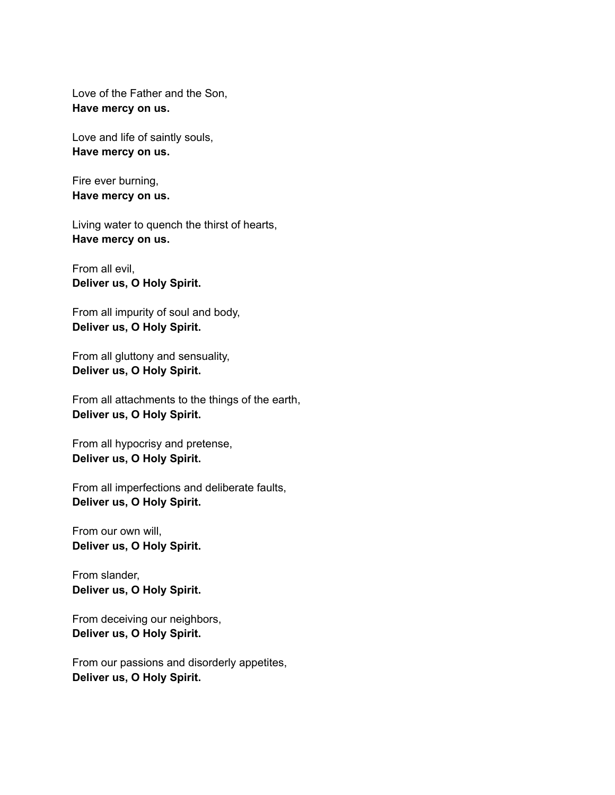Love of the Father and the Son, **Have mercy on us.**

Love and life of saintly souls, **Have mercy on us.**

Fire ever burning, **Have mercy on us.**

Living water to quench the thirst of hearts, **Have mercy on us.**

From all evil, **Deliver us, O Holy Spirit.**

From all impurity of soul and body, **Deliver us, O Holy Spirit.**

From all gluttony and sensuality, **Deliver us, O Holy Spirit.**

From all attachments to the things of the earth, **Deliver us, O Holy Spirit.**

From all hypocrisy and pretense, **Deliver us, O Holy Spirit.**

From all imperfections and deliberate faults, **Deliver us, O Holy Spirit.**

From our own will, **Deliver us, O Holy Spirit.**

From slander, **Deliver us, O Holy Spirit.**

From deceiving our neighbors, **Deliver us, O Holy Spirit.**

From our passions and disorderly appetites, **Deliver us, O Holy Spirit.**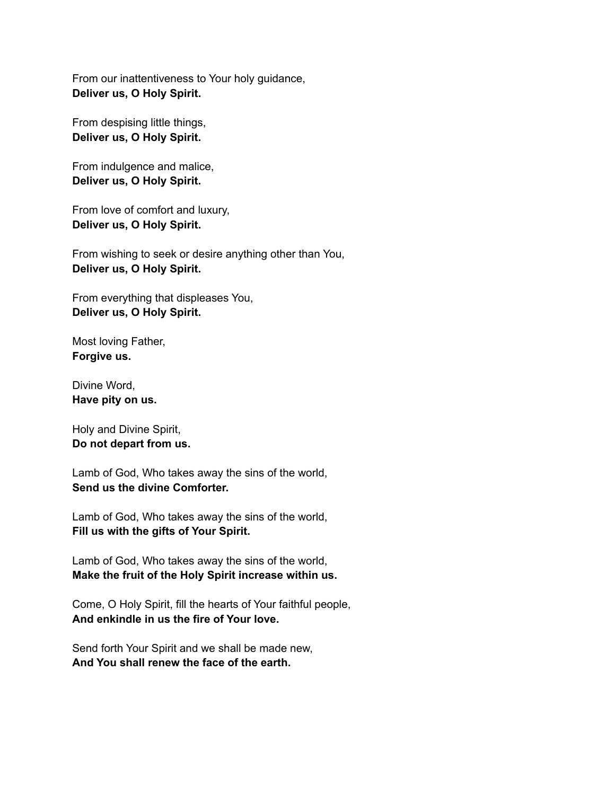From our inattentiveness to Your holy guidance, **Deliver us, O Holy Spirit.**

From despising little things, **Deliver us, O Holy Spirit.**

From indulgence and malice, **Deliver us, O Holy Spirit.**

From love of comfort and luxury, **Deliver us, O Holy Spirit.**

From wishing to seek or desire anything other than You, **Deliver us, O Holy Spirit.**

From everything that displeases You, **Deliver us, O Holy Spirit.**

Most loving Father, **Forgive us.**

Divine Word, **Have pity on us.**

Holy and Divine Spirit, **Do not depart from us.**

Lamb of God, Who takes away the sins of the world, **Send us the divine Comforter.**

Lamb of God, Who takes away the sins of the world, **Fill us with the gifts of Your Spirit.**

Lamb of God, Who takes away the sins of the world, **Make the fruit of the Holy Spirit increase within us.**

Come, O Holy Spirit, fill the hearts of Your faithful people, **And enkindle in us the fire of Your love.**

Send forth Your Spirit and we shall be made new, **And You shall renew the face of the earth.**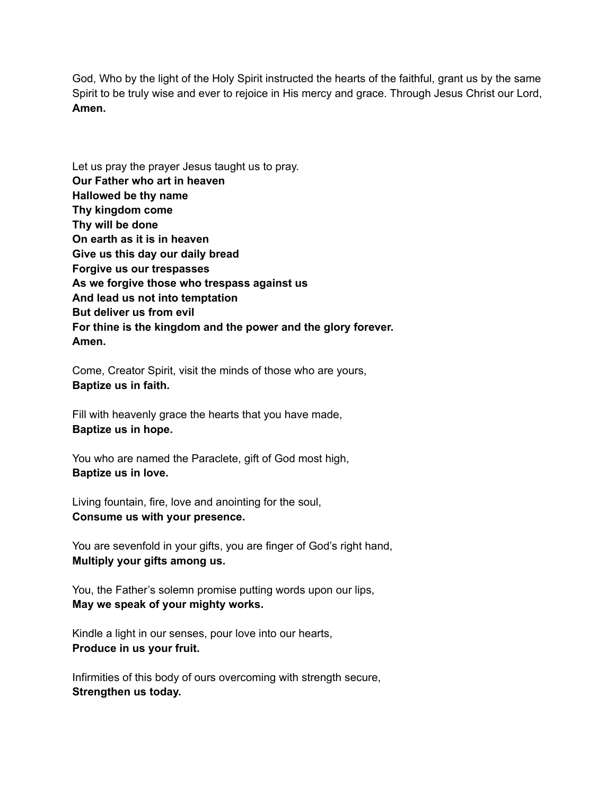God, Who by the light of the Holy Spirit instructed the hearts of the faithful, grant us by the same Spirit to be truly wise and ever to rejoice in His mercy and grace. Through Jesus Christ our Lord, **Amen.**

Let us pray the prayer Jesus taught us to pray. **Our Father who art in heaven Hallowed be thy name Thy kingdom come Thy will be done On earth as it is in heaven Give us this day our daily bread Forgive us our trespasses As we forgive those who trespass against us And lead us not into temptation But deliver us from evil For thine is the kingdom and the power and the glory forever. Amen.**

Come, Creator Spirit, visit the minds of those who are yours, **Baptize us in faith.**

Fill with heavenly grace the hearts that you have made, **Baptize us in hope.**

You who are named the Paraclete, gift of God most high, **Baptize us in love.**

Living fountain, fire, love and anointing for the soul, **Consume us with your presence.**

You are sevenfold in your gifts, you are finger of God's right hand, **Multiply your gifts among us.**

You, the Father's solemn promise putting words upon our lips, **May we speak of your mighty works.**

Kindle a light in our senses, pour love into our hearts, **Produce in us your fruit.**

Infirmities of this body of ours overcoming with strength secure, **Strengthen us today.**